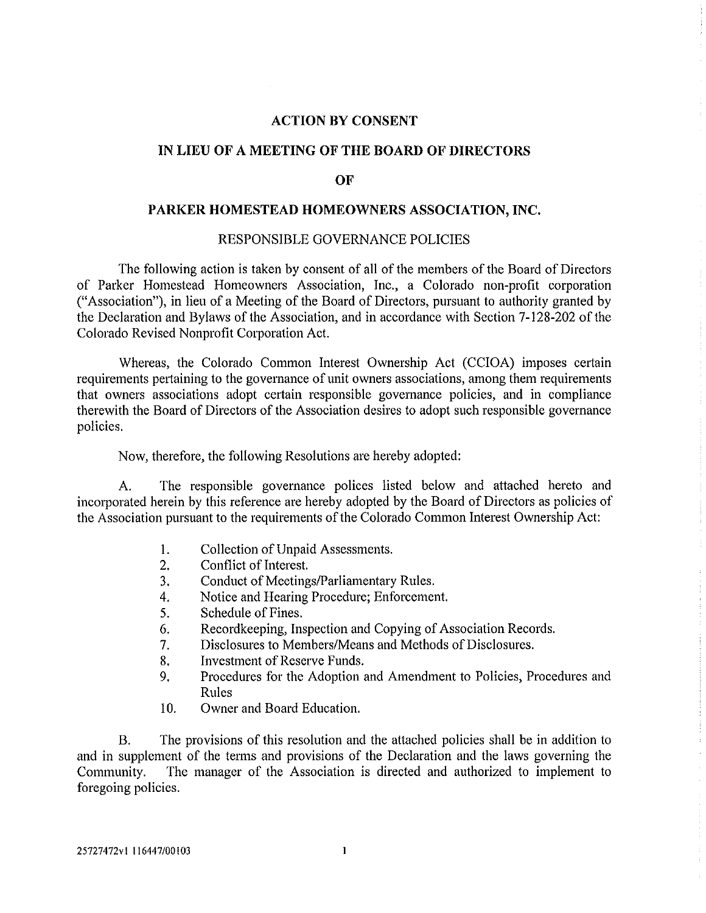## **ACTION BY CONSENT**

### **IN LIEU OF A MEETING OF THE BOARD OF DIRECTORS**

#### **OF**

### **PARKER HOMESTEAD HOMEOWNERS ASSOCIATION, INC.**

### RESPONSIBLE GOVERNANCE POLICIES

The following action is taken by consent of all of the members of the Board of Directors of Parker Homestead Homeowners Association, Inc., a Colorado non-profit corporation ("Association"), in lieu of a Meeting of the Board of Directors, pursuant to authority granted by the Declaration and Bylaws of the Association, and in accordance with Section 7-128-202 of the Colorado Revised Nonprofit Corporation Act.

Whereas, the Colorado Common Interest Ownership Act (CCIOA) imposes certain requirements pertaining to the governance of unit owners associations, among them requirements that owners associations adopt certain responsible governance policies, and in compliance therewith the Board of Directors of the Association desires to adopt such responsible governance policies.

Now, therefore, the following Resolutions are hereby adopted:

A. The responsible governance polices listed below and attached hereto and incorporated herein by this reference are hereby adopted by the Board of Directors as policies of the Association pursuant to the requirements of the Colorado Common Interest Ownership Act:

- 1. Collection of Unpaid Assessments.
- 2. Conflict of Interest.
- 3. Conduct of Meetings/Parliamentary Rules.
- 4. Notice and Hearing Procedure; Enforcement.
- 5. Schedule of Fines.
- 6. Recordkeeping, Inspection and Copying of Association Records.
- 7. Disclosures to Members/Means and Methods of Disclosures.
- 8. Investment of Reserve Funds.
- 9. Procedures for the Adoption and Amendment to Policies, Procedures and Rules
- 10. Owner and Board Education.

B. The provisions of this resolution and the attached policies shall be in addition to and in supplement of the terms and provisions of the Declaration and the laws governing the Community. The manager of the Association is directed and authorized to implement to foregoing policies.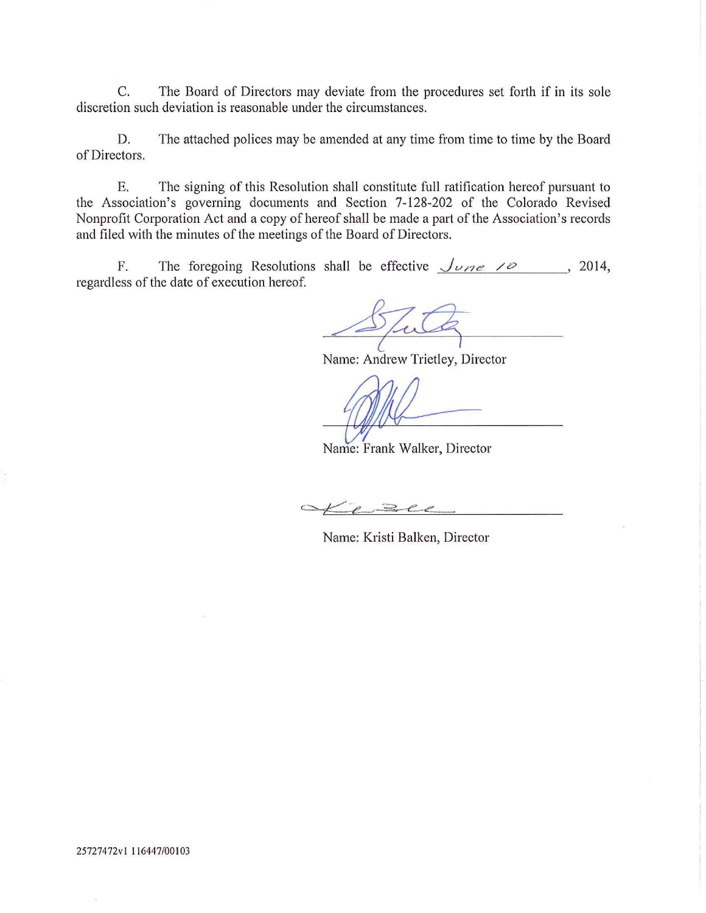C. The Board of Directors may deviate from the procedures set forth if in its sole discretion such deviation is reasonable under the circumstances.

D. The attached polices may be amended at any time from time to time by the Board of Directors.

E. The signing of this Resolution shall constitute full ratification hereof pursuant to the Association's governing documents and Section 7-128-202 of the Colorado Revised Nonprofit Corporation Act and a copy of hereof shall be made a patt of the Association's records and filed with the minutes of the meetings of the Board of Directors.

F. The foregoing Resolutions shall be effective  $\sqrt{\nu}$  10  $\mu$  2014, regardless of the date of execution hereof.

Name: Andrew Trietley, Director

Name: Frank Walker, Director

Leze

Name: Kristi Balken, Director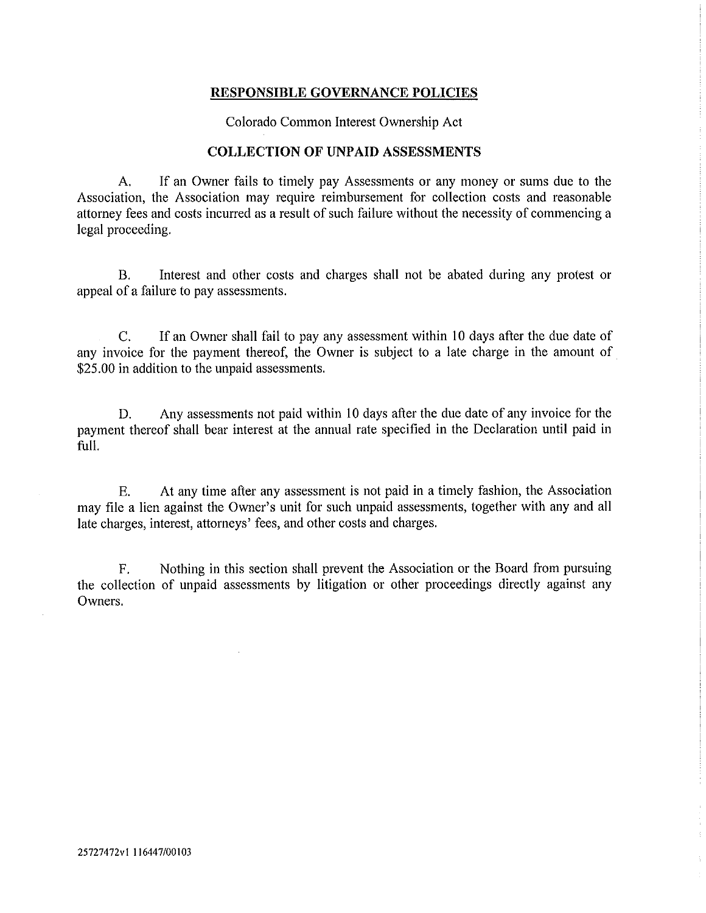Colorado Common Interest Ownership Act

#### **COLLECTION OF UNPAID ASSESSMENTS**

A. If an Owner fails to timely pay Assessments or any money or sums due to the Association, the Association may require reimbursement for collection costs and reasonable attorney fees and costs incurred as a result of such failure without the necessity of commencing a legal proceeding.

B. Interest and other costs and charges shall not be abated during any protest or appeal of a failure to pay assessments.

C. If an Owner shall fail to pay any assessment within 10 days after the due date of any invoice for the payment thereof, the Owner is subject to a late charge in the amount of \$25.00 in addition to the unpaid assessments.

D. Any assessments not paid within 10 days after the due date of any invoice for the payment thereof shall bear interest at the annual rate specified in the Declaration until paid in full.

E. At any time after any assessment is not paid in a timely fashion, the Association may file a lien against the Owner's unit for such unpaid assessments, together with any and all late charges, interest, attorneys' fees, and other costs and charges.

F. Nothing in this section shall prevent the Association or the Board from pursuing the collection of unpaid assessments by litigation or other proceedings directly against any Owners.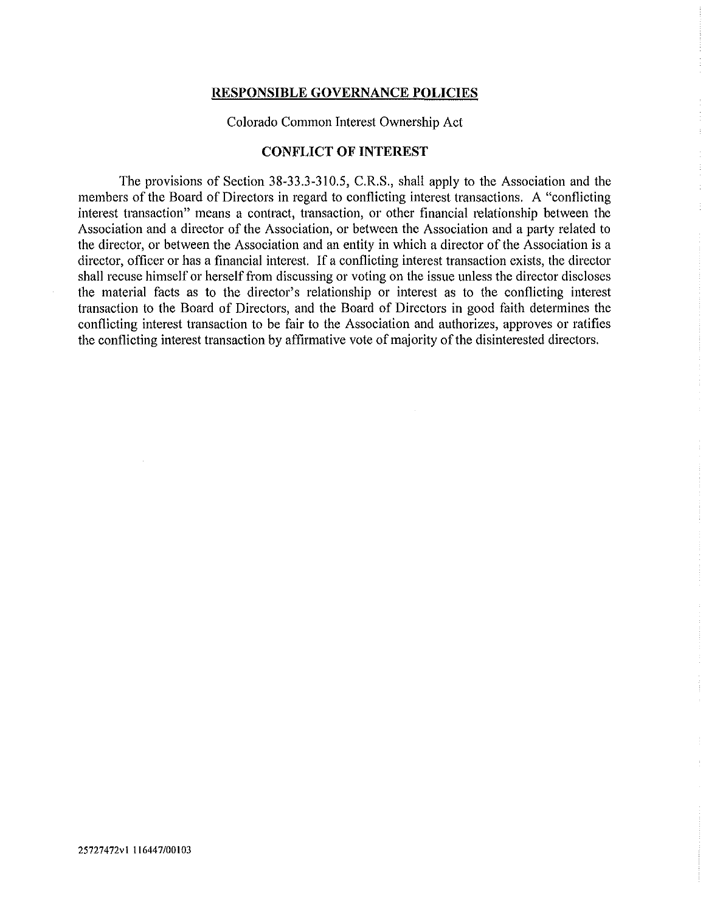Colorado Common Interest Ownership Act

### **CONFLICT OF INTEREST**

The provisions of Section 38-33.3-310.5, C.R.S., shall apply to the Association and the members of the Board of Directors in regard to conflicting interest transactions. A "conflicting interest transaction" means a contract, transaction, or other financial relationship between the Association and a director of the Association, or between the Association and a party related to the director, or between the Association and an entity in which a director of the Association is a director, officer or has a financial interest. If a conflicting interest transaction exists, the director shall recuse himself or herself from discussing or voting on the issue unless the director discloses the material facts as to the director's relationship or interest as to the conflicting interest transaction to the Board of Directors, and the Board of Directors in good faith determines the conflicting interest transaction to be fair to the Association and authorizes, approves or ratifies the conflicting interest transaction by affirmative vote of majority of the disinterested directors.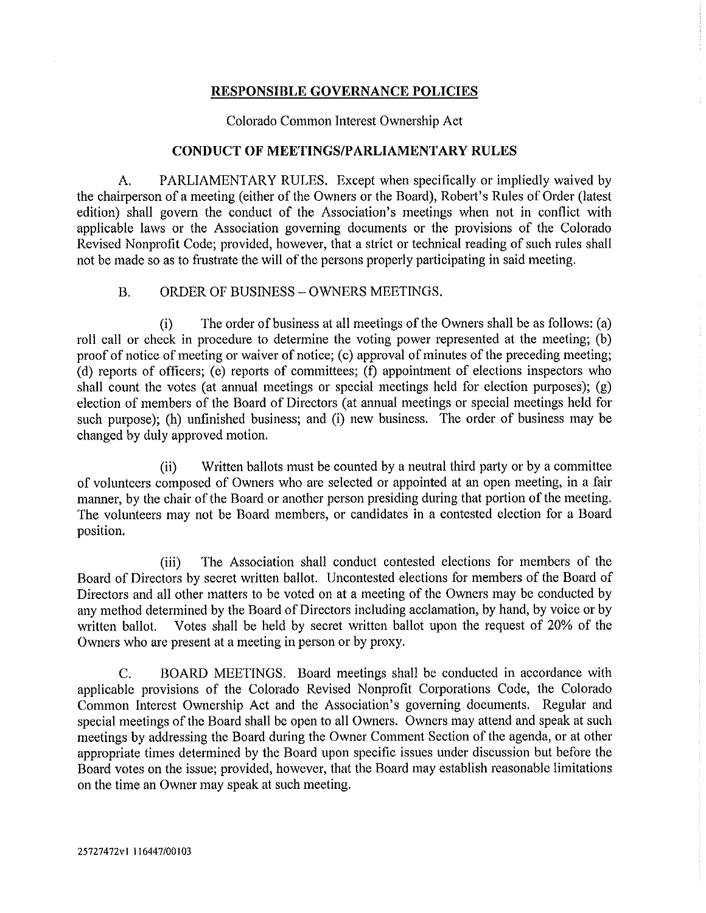Colorado Common Interest Ownership Act

## **CONDUCT OF MEETINGS/PARLIAMENTARY RULES**

A. PARLIAMENTARY RULES. Except when specifically or impliedly waived by the chairperson of a meeting (either of the Owners or the Board), Robett's Rules of Order (latest edition) shall govern the conduct of the Association's meetings when not in conflict with applicable laws or the Association governing documents or the provisions of the Colorado Revised Nonprofit Code; provided, however, that a strict or technical reading of such rules shall not be made so as to frustrate the will of the persons properly participating in said meeting.

## B. ORDER OF BUSINESS - OWNERS MEETINGS.

(i) The order of business at all meetings of the Owners shall be as follows: (a) roll call or check in procedure to determine the voting power represented at the meeting; (b) proof of notice of meeting or waiver of notice; (c) approval of minutes of the preceding meeting; (d) reports of officers; (e) repotts of committees; (f) appointment of elections inspectors who shall count the votes (at annual meetings or special meetings held for election purposes); (g) election of members of the Board of Directors (at annual meetings or special meetings held for such purpose); (h) unfinished business; and (i) new business. The order of business may be changed by duly approved motion.

(ii) Written ballots must be counted by a neutral third party or by a committee of volunteers composed of Owners who are selected or appointed at an open meeting, in a fair manner, by the chair of the Board or another person presiding during that portion of the meeting. The volunteers may not be Board members, or candidates in a contested election for a Board position.

(iii) The Association shall conduct contested elections for members of the Board of Directors by secret written ballot. Uncontested elections for members of the Board of Directors and all other matters to be voted on at a meeting of the Owners may be conducted by any method determined by the Board of Directors including acclamation, by hand, by voice or by written ballot. Votes shall be held by secret written ballot upon the request of 20% of the Owners who are present at a meeting in person or by proxy.

C. BOARD MEETINGS. Board meetings shall be conducted in accordance with applicable provisions of the Colorado Revised Nonprofit Corporations Code, the Colorado Common Interest Ownership Act and the Association's governing documents. Regular and special meetings of the Board shall be open to all Owners. Owners may attend and speak at such meetings by addressing the Board during the Owner Comment Section of the agenda, or at other appropriate times determined by the Board upon specific issues under discussion but before the Board votes on the issue; provided, however, that the Board may establish reasonable limitations on the time an Owner may speak at such meeting.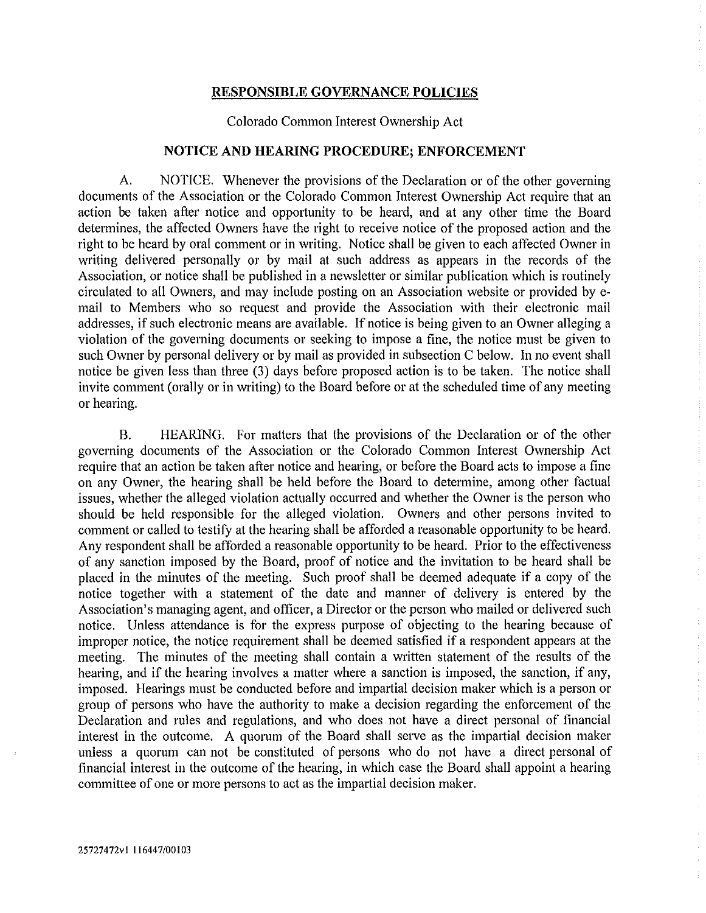Colorado Common Interest Ownership Act

## **NOTICE AND HEARING PROCEDURE; ENFORCEMENT**

A. NOTICE. Whenever the provisions of the Declaration or of the other governing documents of the Association or the Colorado Common Interest Ownership Act require that an action be taken after notice and opportunity to be heard, and at any other time the Board determines, the affected Owners have the right to receive notice of the proposed action and the right to be heard by oral comment or in writing. Notice shall be given to each affected Owner in writing delivered personally or by mail at such address as appears in the records of the Association, or notice shall be published in a newsletter or similar publication which is routinely circulated to all Owners, and may include posting on an Association website or provided by email to Members who so request and provide the Association with their electronic mail addresses, if such electronic means are available. If notice is being given to an Owner alleging a violation of the governing documents or seeking to impose a fine, the notice must be given to such Owner by personal delivery or by mail as provided in subsection C below. In no event shall notice be given less than three (3) days before proposed action is to be taken. The notice shall invite comment (orally or in writing) to the Board before or at the scheduled time of any meeting or hearing.

B. HEARING. For matters that the provisions of the Declaration or of the other governing documents of the Association or the Colorado Common Interest Ownership Act require that an action be taken after notice and hearing, or before the Board acts to impose a fine on any Owner, the hearing shall be held before the Board to determine, among other factual issues, whether the alleged violation actually occurred and whether the Owner is the person who should be held responsible for the alleged violation. Owners and other persons invited to comment or called to testify at the hearing shall be afforded a reasonable opportunity to be heard. Any respondent shall be afforded a reasonable opportunity to be heard. Prior to the effectiveness of any sanction imposed by the Board, proof of notice and the invitation to be heard shall be placed in the minutes of the meeting. Such proof shall be deemed adequate if a copy of the notice together with a statement of the date and manner of delivery is entered by the Association's managing agent, and officer, a Director or the person who mailed or delivered such notice. Unless attendance is for the express purpose of objecting to the hearing because of improper notice, the notice requirement shall be deemed satisfied if a respondent appears at the meeting. The minutes of the meeting shall contain a written statement of the results of the hearing, and if the hearing involves a matter where a sanction is imposed, the sanction, if any, imposed. Hearings must be conducted before and impartial decision maker which is a person or group of persons who have the authority to make a decision regarding the enforcement of the Declaration and rules and regulations, and who does not have a direct personal of financial interest in the outcome. A quorum of the Board shall serve as the impartial decision maker unless a quorum can not be constituted of persons who do not have a direct personal of financial interest in the outcome of the hearing, in which case the Board shall appoint a hearing committee of one or more persons to act as the impattial decision maker.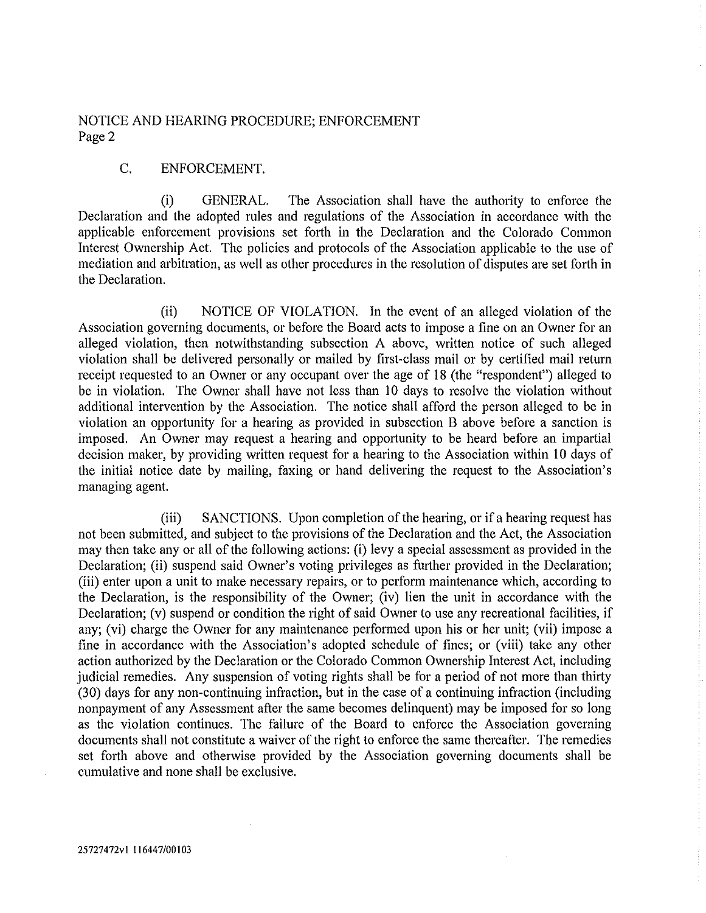NOTICE AND HEARING PROCEDURE; ENFORCEMENT Page 2

## C. ENFORCEMENT.

(i) GENERAL. The Association shall have the authority to enforce the Declaration and the adopted rules and regulations of the Association in accordance with the applicable enforcement provisions set forth in the Declaration and the Colorado Common Interest Ownership Act. The policies and protocols of the Association applicable to the use of mediation and arbitration, as well as other procedures in the resolution of disputes are set forth in the Declaration.

(ii) NOTICE OF VIOLATION. In the event of an alleged violation of the Association governing documents, or before the Board acts to impose a fine on an Owner for an alleged violation, then notwithstanding subsection A above, written notice of such alleged violation shall be delivered personally or mailed by first-class mail or by certified mail return receipt requested to an Owner or any occupant over the age of 18 (the "respondent") alleged to be in violation. The Owner shall have not less than 10 days to resolve the violation without additional intervention by the Association. The notice shall afford the person alleged to be in violation an opportunity for a hearing as provided in subsection B above before a sanction is imposed. An Owner may request a hearing and opportunity to be heard before an impartial decision maker, by providing written request for a hearing to the Association within 10 days of the initial notice date by mailing, faxing or hand delivering the request to the Association's managing agent.

(iii) SANCTIONS. Upon completion of the hearing, or if a hearing request has not been submitted, and subject to the provisions of the Declaration and the Act, the Association may then take any or all of the following actions: (i) levy a special assessment as provided in the Declaration; (ii) suspend said Owner's voting privileges as further provided in the Declaration; (iii) enter upon a unit to make necessary repairs, or to perform maintenance which, according to the Declaration, is the responsibility of the Owner; (iv) lien the unit in accordance with the Declaration; (v) suspend or condition the right of said Owner to use any recreational facilities, if any; (vi) charge the Owner for any maintenance performed upon his or her unit; (vii) impose a fine in accordance with the Association's adopted schedule of fines; or (viii) take any other action authorized by the Declaration or the Colorado Common Ownership Interest Act, including judicial remedies. Any suspension of voting rights shall be for a period of not more than thirty (30) days for any non-continuing infraction, but in the case of a continuing infraction (including nonpayment of any Assessment after the same becomes delinquent) may be imposed for so long as the violation continues. The failure of the Board to enforce the Association governing documents shall not constitute a waiver of the right to enforce the same thereafter. The remedies set forth above and otherwise provided by the Association governing documents shall be cumulative and none shall be exclusive.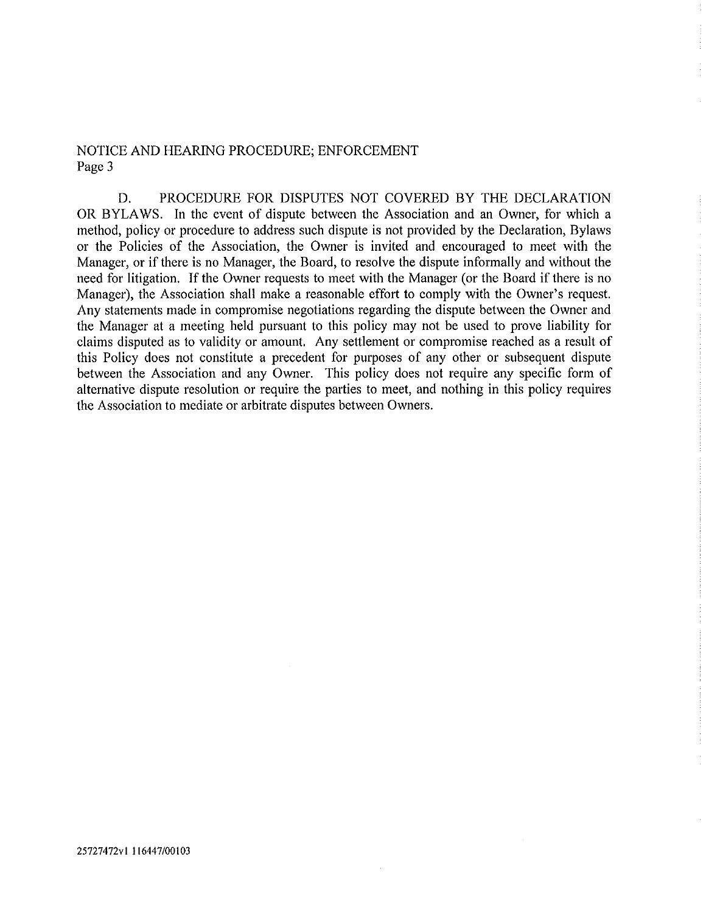## NOTICE AND HEARING PROCEDURE; ENFORCEMENT Page 3

D. PROCEDURE FOR DISPUTES NOT COVERED BY THE DECLARATION OR BYLAWS. In the event of dispute between the Association and an Owner, for which a method, policy or procedure to address such dispute is not provided by the Declaration, Bylaws or the Policies of the Association, the Owner is invited and encouraged to meet with the Manager, or if there is no Manager, the Board, to resolve the dispute informally and without the need for litigation. If the Owner requests to meet with the Manager (or the Board if there is no Manager), the Association shall make a reasonable effort to comply with the Owner's request. Any statements made in compromise negotiations regarding the dispute between the Owner and the Manager at a meeting held pursuant to this policy may not be used to prove liability for claims disputed as to validity or amount. Any settlement or compromise reached as a result of this Policy does not constitute a precedent for purposes of any other or subsequent dispute between the Association and any Owner. This policy does not require any specific form of alternative dispute resolution or require the parties to meet, and nothing in this policy requires the Association to mediate or arbitrate disputes between Owners.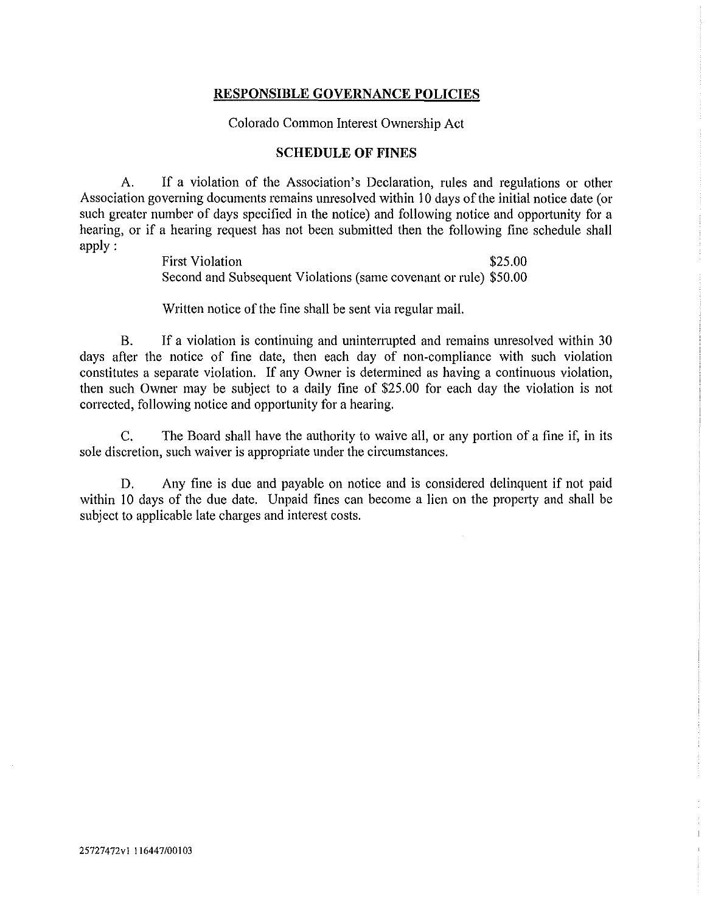Colorado Common Interest Ownership Act

## **SCHEDULE OF FINES**

A. If a violation of the Association's Declaration, rules and regulations or other Association governing documents remains unresolved within 10 days of the initial notice date (or such greater number of days specified in the notice) and following notice and opportunity for a hearing, or if a hearing request has not been submitted then the following fine schedule shall apply:

> First Violation  $$25.00$ Second and Subsequent Violations (same covenant or rule) \$50.00

Written notice of the fine shall be sent via regular mail.

B. If a violation is continuing and uninterrupted and remains unresolved within 30 days after the notice of fine date, then each day of non-compliance with such violation constitutes a separate violation. If any Owner is determined as having a continuous violation, then such Owner may be subject to a daily fine of \$25.00 for each day the violation is not corrected, following notice and opportunity for a hearing.

C. The Board shall have the authority to waive all, or any portion of a fine if, in its sole discretion, such waiver is appropriate under the circumstances.

D. Any fine is due and payable on notice and is considered delinquent if not paid within 10 days of the due date. Unpaid fines can become a lien on the property and shall be subject to applicable late charges and interest costs.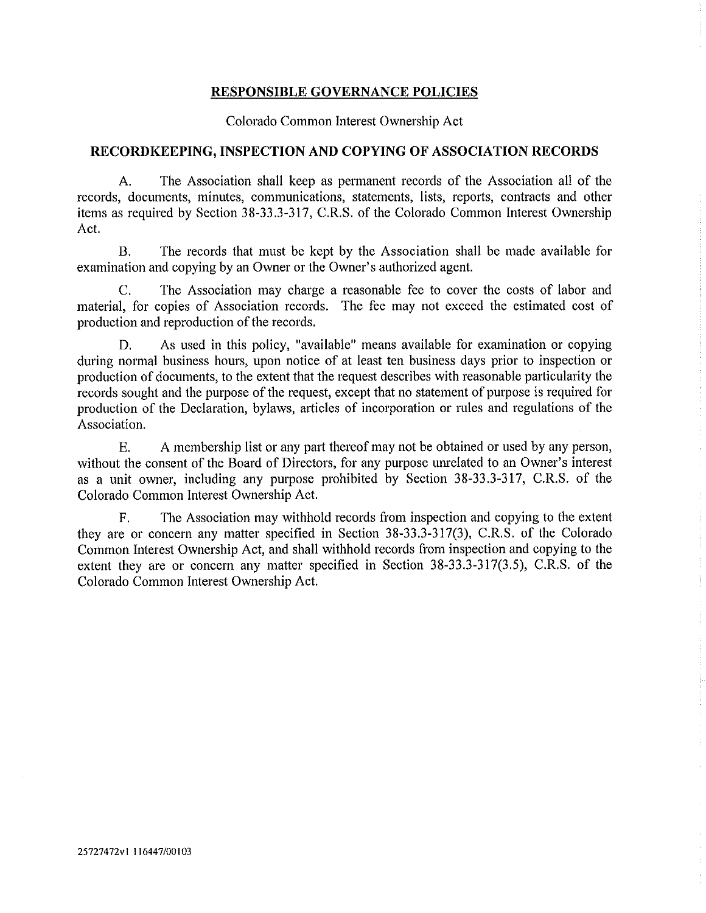Colorado Common Interest Ownership Act

## **RECORDKEEPING, INSPECTION AND COPYING OF ASSOCIATION RECORDS**

A. The Association shall keep as permanent records of the Association all of the records, documents, minutes, communications, statements, lists, reports, contracts and other items as required by Section 38-33.3-317, C.R.S. of the Colorado Common Interest Ownership Act.

B. The records that must be kept by the Association shall be made available for examination and copying by an Owner or the Owner's authorized agent.

C. The Association may charge a reasonable fee to cover the costs of labor and material, for copies of Association records. The fee may not exceed the estimated cost of production and reproduction of the records.

D. As used in this policy, "available" means available for examination or copying during normal business hours, upon notice of at least ten business days prior to inspection or production of documents, to the extent that the request describes with reasonable particularity the records sought and the purpose of the request, except that no statement of purpose is required for production of the Declaration, bylaws, articles of incorporation or rules and regulations of the Association.

E. A membership list or any part thereof may not be obtained or used by any person, without the consent of the Board of Directors, for any purpose umelated to an Owner's interest as a unit owner, including any purpose prohibited by Section 38-33.3-317, C.R.S. of the Colorado Common Interest Ownership Act.

F. The Association may withhold records from inspection and copying to the extent they are or concern any matter specified in Section 38-33.3-317(3), C.R.S. of the Colorado Common Interest Ownership Act, and shall withhold records from inspection and copying to the extent they are or concern any matter specified in Section 38-33.3-317(3.5), C.R.S. of the Colorado Common Interest Ownership Act.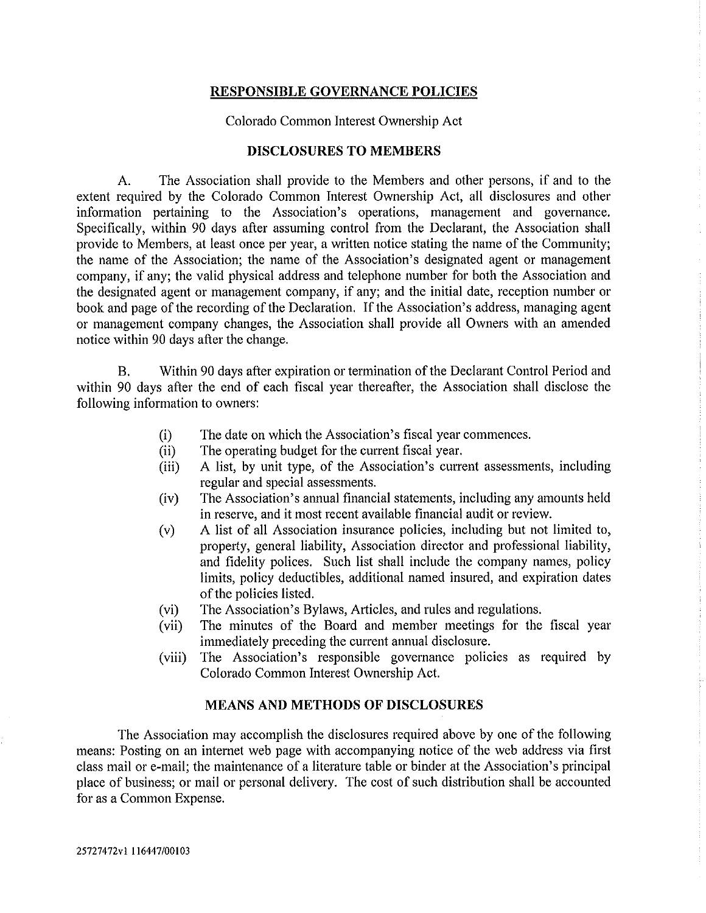Colorado Common Interest Ownership Act

### **DISCLOSURES TO MEMBERS**

A. The Association shall provide to the Members and other persons, if and to the extent required by the Colorado Common Interest Ownership Act, all disclosures and other information pertaining to the Association's operations, management and governance. Specifically, within 90 days after assuming control from the Declarant, the Association shall provide to Members, at least once per year, a written notice stating the name of the Community; the name of the Association; the name of the Association's designated agent or management company, if any; the valid physical address and telephone number for both the Association and the designated agent or management company, if any; and the initial date, reception number or book and page of the recording of the Declaration. If the Association's address, managing agent or management company changes, the Association shall provide all Owners with an amended notice within 90 days after the change.

B. Within 90 days after expiration or termination of the Declarant Control Period and within 90 days after the end of each fiscal year thereafter, the Association shall disclose the following information to owners:

- (i) The date on which the Association's fiscal year commences.
- (ii) The operating budget for the current fiscal year.
- (iii) A list, by unit type, of the Association's current assessments, including regular and special assessments.
- (iv) The Association's annual financial statements, including any amounts held in reserve, and it most recent available financial audit or review.
- (v) A list of all Association insurance policies, including but not limited to, property, general liability, Association director and professional liability, and fidelity polices. Such list shall include the company names, policy limits, policy deductibles, additional named insured, and expiration dates of the policies listed.
- (vi) The Association's Bylaws, Articles, and rules and regulations.
- (vii) The minutes of the Board and member meetings for the fiscal year immediately preceding the current annual disclosure.
- (viii) The Association's responsible governance policies as required by Colorado Common Interest Ownership Act.

## **MEANS AND METHODS OF DISCLOSURES**

The Association may accomplish the disclosures required above by one of the following means: Posting on an internet web page with accompanying notice of the web address via first class mail or e-mail; the maintenance of a literature table or binder at the Association's principal place of business; or mail or personal delivery. The cost of such distribution shall be accounted for as a Common Expense.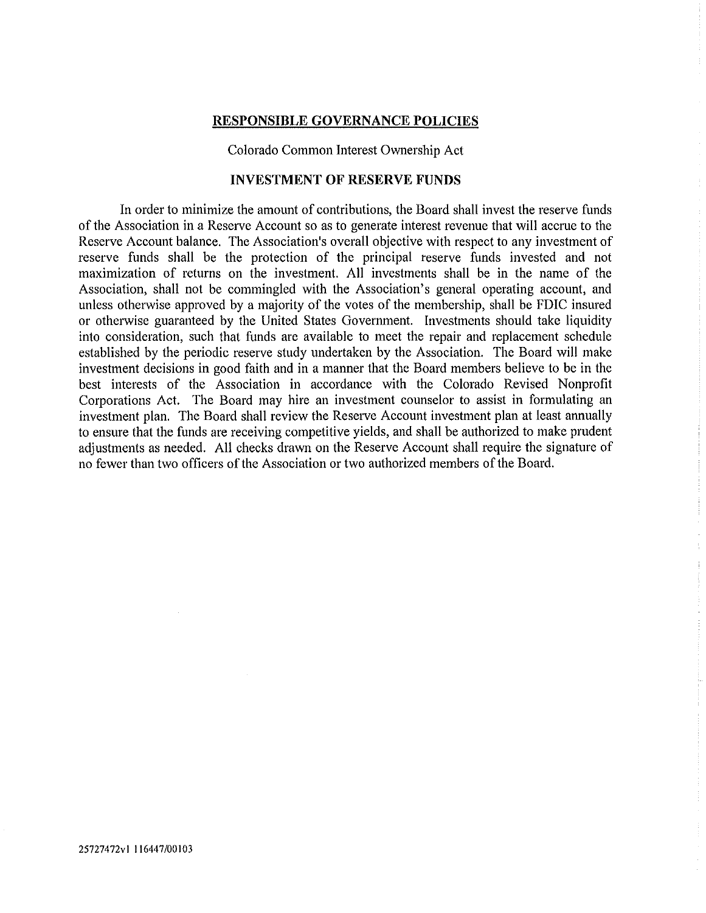Colorado Common Interest Ownership Act

## **INVESTMENT OF RESERVE FUNDS**

In order to minimize the amount of contributions, the Board shall invest the reserve funds of the Association in a Reserve Account so as to generate interest revenue that will accrue to the Reserve Account balance. The Association's overall objective with respect to any investment of reserve funds shall be the protection of the principal reserve funds invested and not maximization of returns on the investment. All investments shall be in the name of the Association, shall not be commingled with the Association's general operating account, and unless otherwise approved by a majority of the votes of the membership, shall be FDIC insured or otherwise guaranteed by the United States Government. Investments should take liquidity into consideration, such that funds are available to meet the repair and replacement schedule established by the periodic reserve study undertaken by the Association. The Board will make investment decisions in good faith and in a manner that the Board members believe to be in the best interests of the Association in accordance with the Colorado Revised Nonprofit Corporations Act. The Board may hire an investment counselor to assist in formulating an investment plan. The Board shall review the Reserve Account investment plan at least annually to ensure that the funds are receiving competitive yields, and shall be authorized to make prudent adjustments as needed. All checks drawn on the Reserve Account shall require the signature of no fewer than two officers of the Association or two authorized members of the Board.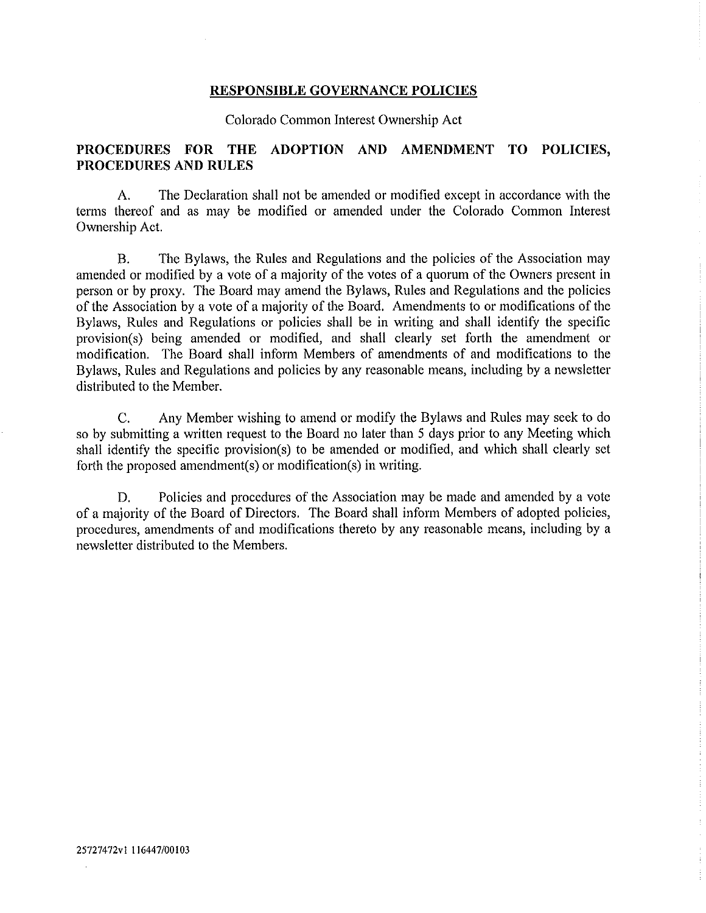Colorado Common Interest Ownership Act

# **PROCEDURES FOR THE ADOPTION AND AMENDMENT TO POLICIES, PROCEDURES AND RULES**

A. The Declaration shall not be amended or modified except in accordance with the terms thereof and as may be modified or amended under the Colorado Common Interest Ownership Act.

B. The Bylaws, the Rules and Regulations and the policies of the Association may amended or modified by a vote of a majority of the votes of a quorum of the Owners present in person or by proxy. The Board may amend the Bylaws, Rules and Regulations and the policies of the Association by a vote of a majority of the Board. Amendments to or modifications of the Bylaws, Rules and Regulations or policies shall be in writing and shall identify the specific provision(s) being amended or modified, and shall clearly set forth the amendment or modification. The Board shall inform Members of amendments of and modifications to the Bylaws, Rules and Regulations and policies by any reasonable means, including by a newsletter distributed to the Member.

C. Any Member wishing to amend or modify the Bylaws and Rules may seek to do so by submitting a written request to the Board no later than 5 days prior to any Meeting which shall identify the specific provision(s) to be amended or modified, and which shall clearly set forth the proposed amendment(s) or modification(s) in writing.

D. Policies and procedures of the Association may be made and amended by a vote of a majority of the Board of Directors. The Board shall inform Members of adopted policies, procedures, amendments of and modifications thereto by any reasonable means, including by a newsletter distributed to the Members.